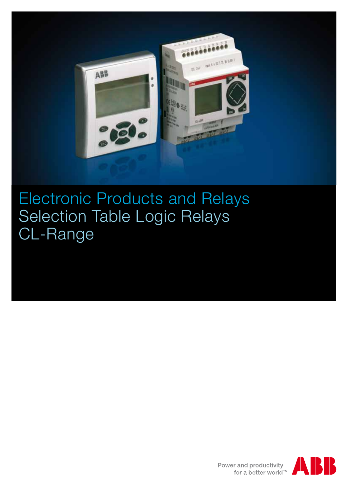

Electronic Products and Relays Selection Table Logic Relays CL-Range

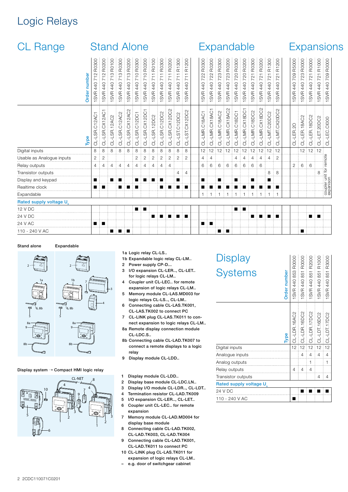## Logic Relays

| <b>CL Range</b>           | <b>Stand Alone</b> |                                            |                                             |                                 |                            |                                |                                   |                            | Expandable                                                        |                                   |                            |                                                                |                                                                                    |                                                     |                            |                                   | <b>Expansions</b>                                          |                            |                            |                            |                                   |                                                      |                                                                  |                            |                                   |                            |                                                                   |                               |  |
|---------------------------|--------------------|--------------------------------------------|---------------------------------------------|---------------------------------|----------------------------|--------------------------------|-----------------------------------|----------------------------|-------------------------------------------------------------------|-----------------------------------|----------------------------|----------------------------------------------------------------|------------------------------------------------------------------------------------|-----------------------------------------------------|----------------------------|-----------------------------------|------------------------------------------------------------|----------------------------|----------------------------|----------------------------|-----------------------------------|------------------------------------------------------|------------------------------------------------------------------|----------------------------|-----------------------------------|----------------------------|-------------------------------------------------------------------|-------------------------------|--|
|                           | Order number       | R0300<br>712<br>440<br>SVR                 | R0200<br>$\sim$<br>$\circ$<br>4<br>4<br>SVR | R0100<br>က<br>440<br><b>SVR</b> | R0300<br>713<br>440<br>SVR | R0200<br>S<br>71<br>440<br>SVR | R0300<br>710<br>440<br><b>SVR</b> | R0200<br>710<br>440<br>SVR | R0100<br>$\overline{\phantom{0}}$<br>$\overline{K}$<br>440<br>SVR | R0300<br>711<br>440<br><b>SVR</b> | R0200<br>711<br>440<br>SVR | 300<br>$\ddot{\bar{r}}$<br>$\overline{7}$<br>440<br><b>SVR</b> | 200<br>$\overline{\mathbb{R}}$<br>$\overline{\phantom{0}}$<br>$\sim$<br>440<br>SVR | R0300<br>722<br>440<br><b>SVR</b><br>$\blacksquare$ | R0200<br>722<br>440<br>SVR | R0300<br>723<br>440<br><b>SVR</b> | R0200<br>$\mathcal{L}3$<br>$\circ$<br>$\frac{4}{4}$<br>SVR | R0300<br>720<br>440<br>SVR | R0200<br>720<br>440<br>SVR | R0300<br>721<br>440<br>SVR | R0200<br>721<br>440<br><b>SVR</b> | 300<br>$\ddot{\bar{c}}$<br>Ņ<br>$\sim$<br>440<br>SVR | 200<br>$\overline{\mathbb{R}}$<br>$\sim$<br>$\sim$<br>440<br>SVR | R5000<br>709<br>440<br>SVR | R0000<br>723<br>440<br><b>SVR</b> | R0000<br>721<br>440<br>SVR | R1000<br>$\overline{\phantom{0}}$<br>$\overline{2}$<br>440<br>SVR | R0000<br>709<br>440<br>SVR    |  |
|                           | Type               | C <sub>12</sub> AC <sub>1</sub><br>CL-LSR. | 2AC<br>CXT.<br>S.<br>ಠ                      | 12AC2<br>$-LSR$ .<br>ಕ          | $-L$ SR.C12AC2<br>ਰੋ       | -LSR.CX12AC2<br>ਰੋ             | -LSR.C12DC1<br>ಕ                  | -LSR.CX12DC<br>ಕ           | CL-LSR.12DC2                                                      | CL-LSR.C12DC2                     | CL-LSR.CX12DC2             | $-LST.C12DC2$<br>ಕ                                             | 2DC <sub>2</sub><br>$-LST.CX1$<br>ಕ                                                | C18AC1<br>CL-LMR.                                   | CX18AC1<br>CL-LMR.         | CL-LMR.C18AC2                     | -LMR.CX18AC2<br>ಕ                                          | C18DC1<br>CL-LMR.          | CL-LMR.CX18DC              | CL-LMR.C18DC2              | CL-LMR.CX18DC                     | C <sub>20</sub> D <sub>C2</sub><br>LMT.<br>ರ         | -LMT.CX20DC2<br>ಕ                                                | CL-LER.20                  | CL-LER.18AC2                      | $-LER.18DC2$<br>ಕ          | $-LET.20DC2$<br>ಕ                                                 | -LEC.CI000<br>ಕ               |  |
| Digital inputs            |                    | 8                                          | 8                                           | 8                               | 8                          | 8                              | 8                                 | 8                          | 8                                                                 | 8                                 | 8                          | 8                                                              | 8                                                                                  | 12                                                  | 12                         | 12                                | 12                                                         | 12                         | 12                         | ፥ 12                       | 12                                | 12                                                   | 12                                                               |                            | 12                                | $\frac{1}{2}$ 12           | 12                                                                |                               |  |
| Usable as Analogue inputs |                    | 2                                          | $\overline{2}$                              |                                 |                            |                                | 2                                 | $\overline{2}$             | $\overline{2}$                                                    | $\overline{2}$                    | $\mathbf{2}$               | $\overline{2}$                                                 | $\overline{2}$                                                                     | $\overline{4}$                                      | 4                          |                                   |                                                            | 4                          | $\overline{4}$             | 4                          | 4                                 | 4                                                    | $\overline{c}$                                                   |                            |                                   |                            |                                                                   | imote                         |  |
| Relay outputs             |                    | $\overline{4}$                             | 4                                           | $\overline{4}$                  | 4                          | 4                              | 4                                 | 4                          | $\overline{4}$                                                    | 4                                 | 4                          |                                                                |                                                                                    | 6                                                   | 6                          | 6                                 | 6                                                          | 6                          | 6                          | 6                          | 6                                 |                                                      |                                                                  | 2                          | 6                                 | 6                          |                                                                   | මු                            |  |
| Transistor outputs        |                    |                                            |                                             |                                 |                            |                                |                                   |                            |                                                                   |                                   |                            | 4                                                              | 4                                                                                  |                                                     |                            |                                   |                                                            |                            |                            |                            |                                   | 8                                                    | 8                                                                |                            |                                   |                            | 8                                                                 | coupler unit for<br>expanison |  |
| Display and keypad        |                    |                                            |                                             |                                 | п                          |                                |                                   |                            |                                                                   |                                   |                            | ■                                                              |                                                                                    | ш                                                   |                            | ■                                 |                                                            | ■                          |                            | ■                          |                                   |                                                      |                                                                  |                            |                                   |                            |                                                                   |                               |  |
| Realtime clock            |                    | .                                          |                                             |                                 |                            | ш                              |                                   |                            |                                                                   |                                   |                            |                                                                | <b>STATE</b>                                                                       |                                                     |                            |                                   |                                                            |                            |                            |                            |                                   |                                                      | a ka                                                             |                            |                                   |                            |                                                                   |                               |  |
| Expandable                |                    |                                            |                                             |                                 |                            |                                |                                   |                            |                                                                   |                                   |                            |                                                                |                                                                                    | $\mathbf{1}$                                        | $\overline{1}$             | $\mathbf{1}$                      | -1                                                         | $\mathbf{1}$               | -1                         | 1.                         | $\mathbf{1}$                      | $\mathbf{1}$                                         | $\overline{1}$                                                   |                            |                                   |                            |                                                                   |                               |  |
| Rated supply voltage U    |                    |                                            |                                             |                                 |                            |                                |                                   |                            |                                                                   |                                   |                            |                                                                |                                                                                    |                                                     |                            |                                   |                                                            |                            |                            |                            |                                   |                                                      |                                                                  |                            |                                   |                            |                                                                   |                               |  |
| 12 V DC                   |                    |                                            |                                             |                                 |                            |                                | ■                                 |                            |                                                                   |                                   |                            |                                                                |                                                                                    |                                                     |                            |                                   |                                                            | п                          | п                          |                            |                                   |                                                      |                                                                  |                            |                                   |                            |                                                                   |                               |  |
| 24 V DC                   |                    |                                            |                                             |                                 |                            |                                |                                   |                            |                                                                   |                                   | п                          | п                                                              | ▝▕█                                                                                |                                                     |                            |                                   |                                                            |                            |                            | ■                          | ■                                 | . .                                                  | ×                                                                |                            |                                   |                            | п                                                                 |                               |  |
| 24 V AC                   |                    |                                            |                                             |                                 |                            |                                |                                   |                            |                                                                   |                                   |                            |                                                                |                                                                                    |                                                     | п                          |                                   |                                                            |                            |                            |                            |                                   |                                                      |                                                                  |                            |                                   |                            |                                                                   |                               |  |
| 110 - 240 V AC            |                    |                                            |                                             |                                 | $\blacksquare$             | п                              |                                   |                            |                                                                   |                                   |                            |                                                                |                                                                                    |                                                     |                            |                                   | п                                                          |                            |                            |                            |                                   |                                                      |                                                                  |                            | п                                 |                            |                                                                   |                               |  |

#### Stand alone Expandable



Display system  $\rightarrow$  Compact HMI logic relay



1a Logic relay CL-LS..

- 1b Expandable logic relay CL-LM..
- 2 Power supply CP-D...
- 3 I/O expansion CL-LER.., CL-LET.. for logic relays CL-LM..
- 4 Coupler unit CL-LEC.. for remote expansion of logic relays CL-LM..
- 5 Memory module CL-LAS.MD003 for logic relays CL-LS.., CL-LM..
- 6 Connecting cable CL-LAS.TK001, CL-LAS.TK002 to connect PC
- 7 CL-LINK plug CL-LAS.TK011 to connect expansion to logic relays CL-LM..
- 8a Remote display connection module CL-LDC.S..
- 8b Connecting cable CL-LAD.TK007 to connect a remote displays to a logic relay
- 9 Display module CL-LDD..

1 Display module CL-LDD..

- 2 Display base module CL-LDC.LN..
- 3 Display I/O module CL-LDR.., CL-LDT..
- 4 Termination resistor CL-LAD.TK009
- 5 I/O expansion CL-LER.., CL-LET.. 6 Coupler unit CL-LEC.. for remote
- expansion
- 7 Memory module CL-LAD.MD004 for display base module
- 8 Connecting cable CL-LAD.TK002, CL-LAD.TK003, CL-LAD.TK004
- 9 Connecting cable CL-LAD.TK001, CL-LAD.TK011 to connect PC
- 10 CL-LINK plug CL-LAS.TK011 for expansion of logic relays CL-LM..
- e.g. door of switchgear cabinet

# **Display Systems**

| Display<br><b>Systems</b>           | Order number | 1SVR 440 853 R0000 | R0000<br>1SVR 440 851 | R2000<br>851<br>1SVR 440 | R1000<br>1SVR 440 851 | 1SVR 440 851 R3000 |
|-------------------------------------|--------------|--------------------|-----------------------|--------------------------|-----------------------|--------------------|
|                                     | Type         | CL-LDR.16AC2       | CL-LDR.16DC2          | CL-LDR.17DC2             | CL-LDT.16DC2          | CL-LDT.17DC2       |
| Digital inputs                      |              | 12                 | 12                    | 12                       | 12                    | 12                 |
| Analogue inputs                     |              |                    | 4                     | 4                        | 4                     | 4                  |
| Analog outputs                      |              |                    |                       | 1                        |                       | 1                  |
| Relay outputs                       |              | 4                  | 4                     | 4                        |                       |                    |
| Transistor outputs                  |              |                    |                       |                          | 4                     | 4                  |
| Rated supply voltage U <sub>s</sub> |              |                    |                       |                          |                       |                    |

 $\begin{array}{r|l} \hline \text{R0000} \\ \text{R0000} \\ \text{R2000} \\ \text{R1000} \\ \text{R1000} \\ \text{R2000} \\ \text{R300} \\ \text{R400} \\ \text{R500} \\ \text{R60} \\ \text{R300} \\ \text{R50} \\ \text{R60} \\ \text{R60} \\ \text{R80} \\ \text{R80} \\ \text{R80} \\ \text{R80} \\ \text{R80} \\ \text{R80} \\ \text{R80} \\ \text{R80} \\ \text{R80} \\ \text{R80} \\$ 

| <b>Hated Supply voltage 0.</b> |  |  |  |  |              |  |  |  |  |  |  |
|--------------------------------|--|--|--|--|--------------|--|--|--|--|--|--|
| 24 V DC                        |  |  |  |  | 8 <b>.</b> . |  |  |  |  |  |  |
| 110 - 240 V AC                 |  |  |  |  |              |  |  |  |  |  |  |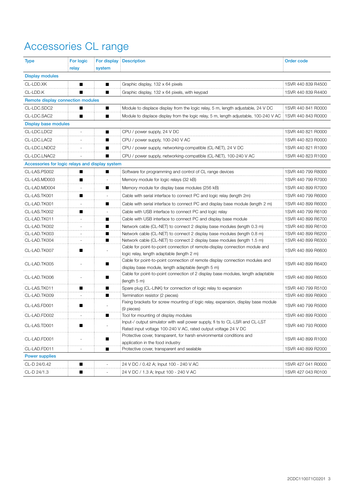## Accessories CL range

| <b>Type</b>                                     | For logic<br>relay | system | For display Description                                                                                                                       | <b>Order code</b>  |
|-------------------------------------------------|--------------------|--------|-----------------------------------------------------------------------------------------------------------------------------------------------|--------------------|
| <b>Display modules</b>                          |                    |        |                                                                                                                                               |                    |
| CL-LDD.XK                                       | ■                  | ■      | Graphic display, 132 x 64 pixels                                                                                                              | 1SVR 440 839 R4500 |
| CL-LDD.K                                        | ■                  | ■      | Graphic display, 132 x 64 pixels, with keypad                                                                                                 | 1SVR 440 839 R4400 |
| Remote display connection modules               |                    |        |                                                                                                                                               |                    |
| CL-LDC.SDC2                                     |                    |        | Module to displace display from the logic relay, 5 m, length adjustable, 24 V DC                                                              | 1SVR 440 841 R0000 |
| CL-LDC.SAC2                                     | ■                  | ■      | Module to displace display from the logic relay, 5 m, length adjustable, 100-240 V AC 1SVR 440 843 R0000                                      |                    |
| <b>Display base modules</b>                     |                    |        |                                                                                                                                               |                    |
| CL-LDC.LDC2                                     |                    | ■      | CPU / power supply, 24 V DC                                                                                                                   | 1SVR 440 821 R0000 |
| CL-LDC.LAC2                                     |                    | ■      | CPU / power supply, 100-240 V AC                                                                                                              | 1SVR 440 823 R0000 |
| CL-LDC.LNDC2                                    |                    | ■      | CPU / power supply, networking-compatible (CL-NET), 24 V DC                                                                                   | 1SVR 440 821 R1000 |
| CL-LDC.LNAC2                                    |                    | ■      | CPU / power supply, networking-compatible (CL-NET), 100-240 V AC                                                                              | 1SVR 440 823 R1000 |
| Accessories for logic relays and display system |                    |        |                                                                                                                                               |                    |
| CL-LAS.PS002                                    | ▅                  | ■      | Software for programming and control of CL range devices                                                                                      | 1SVR 440 799 R8000 |
| CL-LAS.MD003                                    | ш                  |        | Memory module for logic relays (32 kB)                                                                                                        | 1SVR 440 799 R7000 |
| CL-LAD.MD004                                    |                    |        | Memory module for display base modules (256 kB)                                                                                               | 1SVR 440 899 R7000 |
| CL-LAS.TK001                                    |                    |        | Cable with serial interface to connect PC and logic relay (length 2m)                                                                         | 1SVR 440 799 R6000 |
| CL-LAD.TK001                                    |                    | ■      | Cable with serial interface to connect PC and display base module (length 2 m)                                                                | 1SVR 440 899 R6000 |
| CL-LAS.TK002                                    | ■                  |        | Cable with USB interface to connect PC and logic relay                                                                                        | 1SVR 440 799 R6100 |
| CL-LAD.TK011                                    |                    | ■      | Cable with USB interface to connect PC and display base module                                                                                | 1SVR 440 899 R6700 |
| CL-LAD.TK002                                    |                    |        | Network cable (CL-NET) to connect 2 display base modules (length 0.3 m)                                                                       | 1SVR 440 899 R6100 |
| CL-LAD.TK003                                    |                    | ■      | Network cable (CL-NET) to connect 2 display base modules (length 0.8 m)                                                                       | 1SVR 440 899 R6200 |
| CL-LAD.TK004                                    |                    |        | Network cable (CL-NET) to connect 2 display base modules (length 1.5 m)                                                                       | 1SVR 440 899 R6300 |
| CL-LAD.TK007                                    | ■                  |        | Cable for point-to-point connection of remote-display connection module and<br>logic relay, length adaptable (length 2 m)                     | 1SVR 440 899 R6600 |
| CL-LAD.TK005                                    |                    | ■      | Cable for point-to-point connection of remote display connection modules and<br>display base module, length adaptable (length 5 m)            | 1SVR 440 899 R6400 |
| CL-LAD.TK006                                    |                    |        | Cable for point-to-point connection of 2 display base modules, length adaptable<br>(length 5 m)                                               | 1SVR 440 899 R6500 |
| CL-LAS.TK011                                    | ■                  | ■      | Spare plug (CL-LINK) for connection of logic relay to expansion                                                                               | 1SVR 440 799 R5100 |
| CL-LAD.TK009                                    |                    | ■      | Termination resistor (2 pieces)                                                                                                               | 1SVR 440 899 R6900 |
| CL-LAS.FD001                                    | ■                  |        | Fixing brackets for screw mounting of logic relay, expansion, display base module<br>(9 pieces)                                               | 1SVR 440 799 R5000 |
| CL-LAD.FD002                                    |                    |        | Tool for mounting of display modules                                                                                                          | 1SVR 440 899 R3000 |
| CL-LAS.TD001                                    |                    |        | Input-/ output simulator with wall power supply, fi ts to CL-LSR and CL-LST<br>Rated input voltage 100-240 V AC, rated output voltage 24 V DC | 1SVR 440 793 R0000 |
| CL-LAD.FD001                                    |                    | ш      | Protective cover, transparent, for harsh environmental conditions and<br>application in the food industry                                     | 1SVR 440 899 R1000 |
| CL-LAD.FD011                                    |                    |        | Protective cover, transparent and sealable                                                                                                    | 1SVR 440 899 R2000 |
| <b>Power supplies</b>                           |                    |        |                                                                                                                                               |                    |
| CL-D 24/0.42                                    |                    |        | 24 V DC / 0.42 A; Input 100 - 240 V AC                                                                                                        | 1SVR 427 041 R0000 |
| CL-D 24/1.3                                     | ■                  |        | 24 V DC / 1.3 A; Input 100 - 240 V AC                                                                                                         | 1SVR 427 043 R0100 |